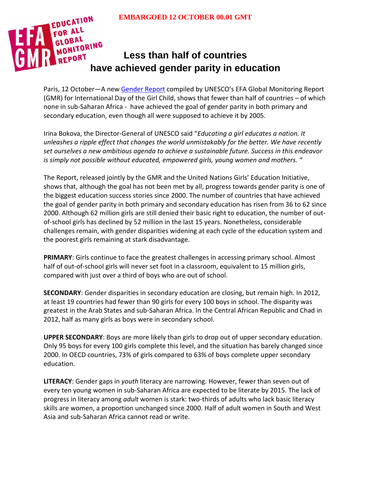

# **Less than half of countries have achieved gender parity in education**

Paris, 12 October—A new [Gender Report](http://bitly.com/genderEFA) compiled by UNESCO's EFA Global Monitoring Report (GMR) for International Day of the Girl Child, shows that fewer than half of countries – of which none in sub-Saharan Africa - have achieved the goal of gender parity in both primary and secondary education, even though all were supposed to achieve it by 2005.

Irina Bokova, the Director-General of UNESCO said "*Educating a girl educates a nation. It unleashes a ripple effect that changes the world unmistakably for the better. We have recently set ourselves a new ambitious agenda to achieve a sustainable future. Success in this endeavor is simply not possible without educated, empowered girls, young women and mothers. "*

The Report, released jointly by the GMR and the United Nations Girls' Education Initiative, shows that, although the goal has not been met by all, progress towards gender parity is one of the biggest education success stories since 2000. The number of countries that have achieved the goal of gender parity in both primary and secondary education has risen from 36 to 62 since 2000. Although 62 million girls are still denied their basic right to education, the number of outof-school girls has declined by 52 million in the last 15 years. Nonetheless, considerable challenges remain, with gender disparities widening at each cycle of the education system and the poorest girls remaining at stark disadvantage.

**PRIMARY**: Girls continue to face the greatest challenges in accessing primary school. Almost half of out-of-school girls will never set foot in a classroom, equivalent to 15 million girls, compared with just over a third of boys who are out of school.

**SECONDARY**: Gender disparities in secondary education are closing, but remain high. In 2012, at least 19 countries had fewer than 90 girls for every 100 boys in school. The disparity was greatest in the Arab States and sub-Saharan Africa. In the Central African Republic and Chad in 2012, half as many girls as boys were in secondary school.

**UPPER SECONDARY**: Boys are more likely than girls to drop out of upper secondary education. Only 95 boys for every 100 girls complete this level, and the situation has barely changed since 2000. In OECD countries, 73% of girls compared to 63% of boys complete upper secondary education.

**LITERACY**: Gender gaps in *youth* literacy are narrowing. However, fewer than seven out of every ten young women in sub-Saharan Africa are expected to be literate by 2015. The lack of progress in literacy among *adult* women is stark: two-thirds of adults who lack basic literacy skills are women, a proportion unchanged since 2000. Half of adult women in South and West Asia and sub-Saharan Africa cannot read or write.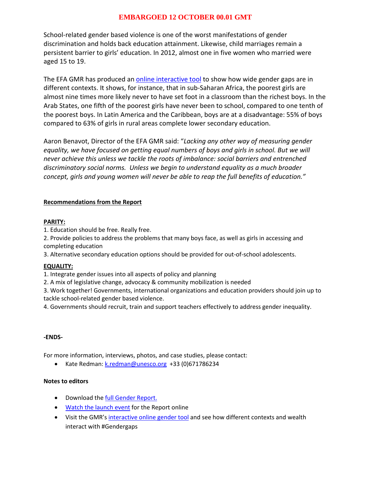## **EMBARGOED 12 OCTOBER 00.01 GMT**

School-related gender based violence is one of the worst manifestations of gender discrimination and holds back education attainment. Likewise, child marriages remain a persistent barrier to girls' education. In 2012, almost one in five women who married were aged 15 to 19.

The EFA GMR has produced an *online interactive tool* to show how wide gender gaps are in different contexts. It shows, for instance, that in sub-Saharan Africa, the poorest girls are almost nine times more likely never to have set foot in a classroom than the richest boys. In the Arab States, one fifth of the poorest girls have never been to school, compared to one tenth of the poorest boys. In Latin America and the Caribbean, boys are at a disadvantage: 55% of boys compared to 63% of girls in rural areas complete lower secondary education.

Aaron Benavot, Director of the EFA GMR said: "*Lacking any other way of measuring gender equality, we have focused on getting equal numbers of boys and girls in school. But we will never achieve this unless we tackle the roots of imbalance: social barriers and entrenched discriminatory social norms. Unless we begin to understand equality as a much broader concept, girls and young women will never be able to reap the full benefits of education."*

### **Recommendations from the Report**

#### **PARITY:**

1. Education should be free. Really free.

2. Provide policies to address the problems that many boys face, as well as girls in accessing and completing education

3. Alternative secondary education options should be provided for out-of-school adolescents.

#### **EQUALITY:**

1. Integrate gender issues into all aspects of policy and planning

2. A mix of legislative change, advocacy & community mobilization is needed

3. Work together! Governments, international organizations and education providers should join up to tackle school-related gender based violence.

4. Governments should recruit, train and support teachers effectively to address gender inequality.

#### **-ENDS-**

For more information, interviews, photos, and case studies, please contact:

• Kate Redman: [k.redman@unesco.org](mailto:k.redman@unesco.org) +33 (0)671786234

#### **Notes to editors**

- Download th[e full Gender Report.](http://bitly.com/genderEFA)
- [Watch the launch event](http://original.livestream.com/unicef) for the Report online
- Visit the GMR's [interactive online gender tool](http://en.unesco.org/gem-report/gender_data2015) and see how different contexts and wealth interact with #Gendergaps